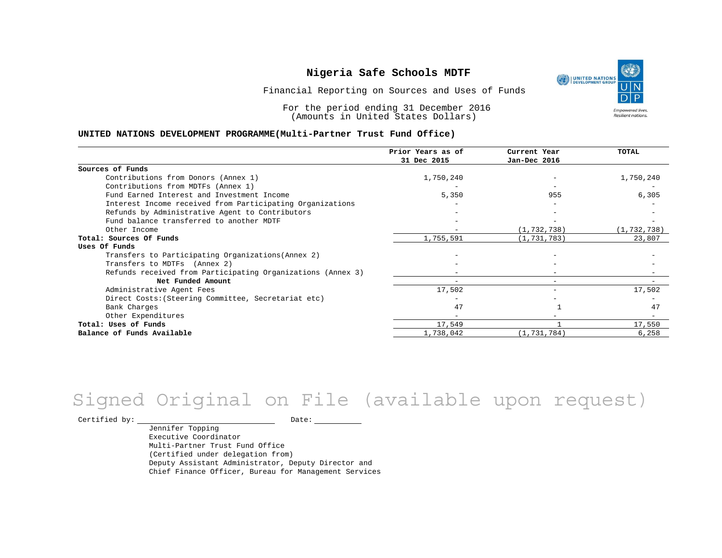

Financial Reporting on Sources and Uses of Funds

For the period ending 31 December 2016 (Amounts in United States Dollars)

#### **UNITED NATIONS DEVELOPMENT PROGRAMME(Multi-Partner Trust Fund Office)**

|                                                             | Prior Years as of | Current Year             | <b>TOTAL</b>  |
|-------------------------------------------------------------|-------------------|--------------------------|---------------|
|                                                             | 31 Dec 2015       | Jan-Dec 2016             |               |
| Sources of Funds                                            |                   |                          |               |
| Contributions from Donors (Annex 1)                         | 1,750,240         |                          | 1,750,240     |
| Contributions from MDTFs (Annex 1)                          |                   |                          |               |
| Fund Earned Interest and Investment Income                  | 5,350             | 955                      | 6,305         |
| Interest Income received from Participating Organizations   |                   |                          |               |
| Refunds by Administrative Agent to Contributors             |                   |                          |               |
| Fund balance transferred to another MDTF                    |                   |                          |               |
| Other Income                                                |                   | (1, 732, 738)            | (1, 732, 738) |
| Total: Sources Of Funds                                     | 1,755,591         | (1, 731, 783)            | 23,807        |
| Uses Of Funds                                               |                   |                          |               |
| Transfers to Participating Organizations (Annex 2)          |                   |                          |               |
| Transfers to MDTFs (Annex 2)                                |                   |                          |               |
| Refunds received from Participating Organizations (Annex 3) |                   | $-$                      |               |
| Net Funded Amount                                           |                   | $-$                      |               |
| Administrative Agent Fees                                   | 17,502            | $\overline{\phantom{0}}$ | 17,502        |
| Direct Costs: (Steering Committee, Secretariat etc)         |                   |                          |               |
| Bank Charges                                                | 47                |                          | 47            |
| Other Expenditures                                          |                   |                          |               |
| Total: Uses of Funds                                        | 17,549            |                          | 17,550        |
| Balance of Funds Available                                  | 1,738,042         | (1, 731, 784)            | 6,258         |

# Signed Original on File (available upon request)

 $\begin{tabular}{c} \multicolumn{2}{c}{{\texttt{Certified by:}}}} \thicklines \end{tabular} \vspace{-.5cm} \begin{tabular}{l} \multicolumn{2}{c}{} {\color{blue}Date:} \thicklines \end{tabular} \end{tabular} \vspace{-.5cm} \begin{tabular}{l} \multicolumn{2}{c}{} {\color{blue}Date:} \thicklines \end{tabular} \end{tabular} \vspace{-.5cm} \begin{tabular}{l} \multicolumn{2}{c}{} {\color{blue}Date:} \thicklines \end{tabular} \end{tabular} \vspace{-.5cm} \begin{tabular}{l} \multicolumn{2}{c}{} {\color{$ 

Jennifer Topping Executive Coordinator Multi-Partner Trust Fund Office (Certified under delegation from) Deputy Assistant Administrator, Deputy Director and Chief Finance Officer, Bureau for Management Services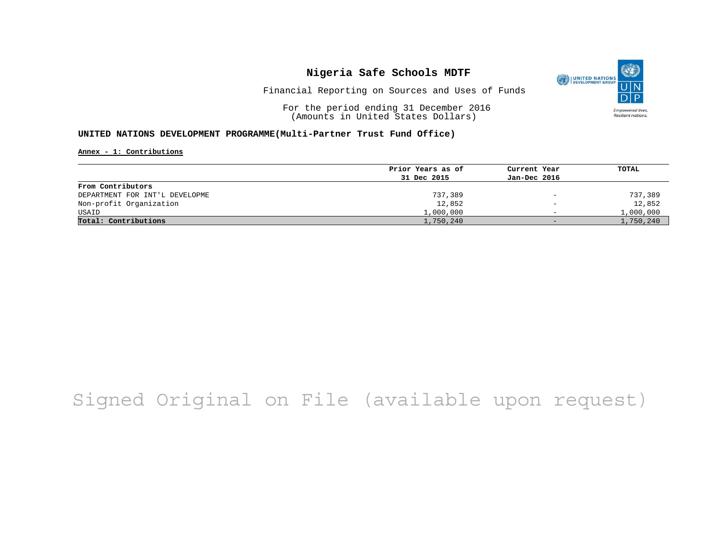

Financial Reporting on Sources and Uses of Funds

For the period ending 31 December 2016 (Amounts in United States Dollars)

### **UNITED NATIONS DEVELOPMENT PROGRAMME(Multi-Partner Trust Fund Office)**

#### **Annex - 1: Contributions**

|                                | Prior Years as of | Current Year                    | TOTAL     |
|--------------------------------|-------------------|---------------------------------|-----------|
|                                | 31 Dec 2015       | Jan-Dec 2016                    |           |
| From Contributors              |                   |                                 |           |
| DEPARTMENT FOR INT'L DEVELOPME | 737,389           | $\hspace{0.1mm}-\hspace{0.1mm}$ | 737,389   |
| Non-profit Organization        | 12,852            | $\overline{\phantom{0}}$        | 12,852    |
| USAID                          | 1,000,000         | $\overline{\phantom{0}}$        | 1,000,000 |
| Total: Contributions           | 1,750,240         | $-$                             | 1,750,240 |

# Signed Original on File (available upon request)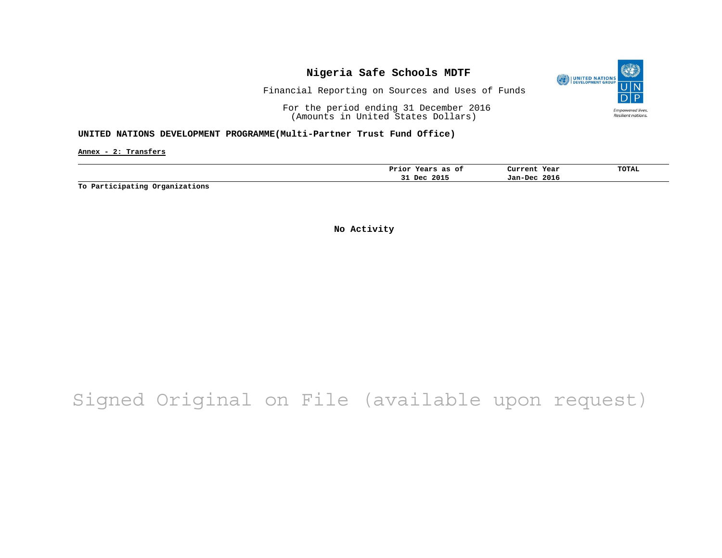

Financial Reporting on Sources and Uses of Funds

For the period ending 31 December 2016 (Amounts in United States Dollars)

#### **UNITED NATIONS DEVELOPMENT PROGRAMME(Multi-Partner Trust Fund Office)**

**Annex - 2: Transfers**

| 2016<br>2015<br>Dec<br>Jan-Dec<br><u>JI</u> | Prior<br>оt<br>as<br>$ -$<br>eals | Current<br>Year | TOTAL |
|---------------------------------------------|-----------------------------------|-----------------|-------|
|                                             |                                   |                 |       |

**To Participating Organizations**

**No Activity**

# Signed Original on File (available upon request)